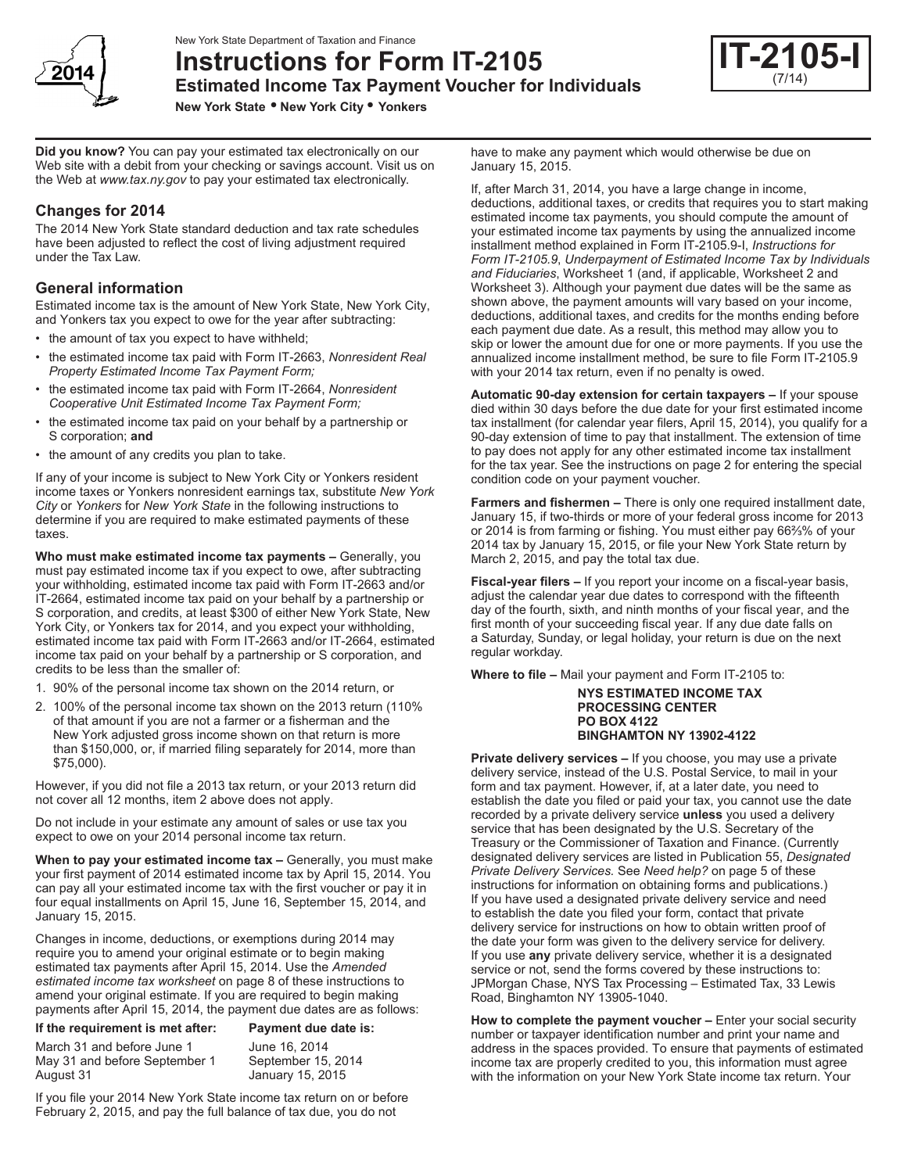

**Instructions for Form IT-2105**

**Estimated Income Tax Payment Voucher for Individuals**

**New York State • New York City • Yonkers**

**Did you know?** You can pay your estimated tax electronically on our Web site with a debit from your checking or savings account. Visit us on the Web at *www.tax.ny.gov* to pay your estimated tax electronically.

## **Changes for 2014**

The 2014 New York State standard deduction and tax rate schedules have been adjusted to reflect the cost of living adjustment required under the Tax Law.

### **General information**

Estimated income tax is the amount of New York State, New York City, and Yonkers tax you expect to owe for the year after subtracting:

- the amount of tax you expect to have withheld;
- the estimated income tax paid with Form IT-2663, *Nonresident Real Property Estimated Income Tax Payment Form;*
- the estimated income tax paid with Form IT-2664, *Nonresident Cooperative Unit Estimated Income Tax Payment Form;*
- the estimated income tax paid on your behalf by a partnership or S corporation; **and**
- the amount of any credits you plan to take.

If any of your income is subject to New York City or Yonkers resident income taxes or Yonkers nonresident earnings tax, substitute *New York City* or *Yonkers* for *New York State* in the following instructions to determine if you are required to make estimated payments of these taxes.

**Who must make estimated income tax payments –** Generally, you must pay estimated income tax if you expect to owe, after subtracting your withholding, estimated income tax paid with Form IT-2663 and/or IT-2664, estimated income tax paid on your behalf by a partnership or S corporation, and credits, at least \$300 of either New York State, New York City, or Yonkers tax for 2014, and you expect your withholding, estimated income tax paid with Form IT-2663 and/or IT-2664, estimated income tax paid on your behalf by a partnership or S corporation, and credits to be less than the smaller of:

- 1. 90% of the personal income tax shown on the 2014 return, or
- 2. 100% of the personal income tax shown on the 2013 return (110% of that amount if you are not a farmer or a fisherman and the New York adjusted gross income shown on that return is more than \$150,000, or, if married filing separately for 2014, more than \$75,000).

However, if you did not file a 2013 tax return, or your 2013 return did not cover all 12 months, item 2 above does not apply.

Do not include in your estimate any amount of sales or use tax you expect to owe on your 2014 personal income tax return.

**When to pay your estimated income tax –** Generally, you must make your first payment of 2014 estimated income tax by April 15, 2014. You can pay all your estimated income tax with the first voucher or pay it in four equal installments on April 15, June 16, September 15, 2014, and January 15, 2015.

Changes in income, deductions, or exemptions during 2014 may require you to amend your original estimate or to begin making estimated tax payments after April 15, 2014. Use the *Amended estimated income tax worksheet* on page 8 of these instructions to amend your original estimate. If you are required to begin making payments after April 15, 2014, the payment due dates are as follows:

**If the requirement is met after: Payment due date is:**

March 31 and before June 1 June 16, 2014<br>May 31 and before September 1 September 15, 2014 May 31 and before September 1 August 31 January 15, 2015

If you file your 2014 New York State income tax return on or before February 2, 2015, and pay the full balance of tax due, you do not

have to make any payment which would otherwise be due on January 15, 2015.

If, after March 31, 2014, you have a large change in income, deductions, additional taxes, or credits that requires you to start making estimated income tax payments, you should compute the amount of your estimated income tax payments by using the annualized income installment method explained in Form IT‑2105.9-I, *Instructions for Form IT‑2105.9*, *Underpayment of Estimated Income Tax by Individuals and Fiduciaries*, Worksheet 1 (and, if applicable, Worksheet 2 and Worksheet 3). Although your payment due dates will be the same as shown above, the payment amounts will vary based on your income, deductions, additional taxes, and credits for the months ending before each payment due date. As a result, this method may allow you to skip or lower the amount due for one or more payments. If you use the annualized income installment method, be sure to file Form IT‑2105.9 with your 2014 tax return, even if no penalty is owed.

**Automatic 90-day extension for certain taxpayers –** If your spouse died within 30 days before the due date for your first estimated income tax installment (for calendar year filers, April 15, 2014), you qualify for a 90-day extension of time to pay that installment. The extension of time to pay does not apply for any other estimated income tax installment for the tax year. See the instructions on page 2 for entering the special condition code on your payment voucher.

**Farmers and fishermen –** There is only one required installment date, January 15, if two-thirds or more of your federal gross income for 2013 or 2014 is from farming or fishing. You must either pay 66⅔% of your 2014 tax by January 15, 2015, or file your New York State return by March 2, 2015, and pay the total tax due.

**Fiscal-year filers –** If you report your income on a fiscal-year basis, adjust the calendar year due dates to correspond with the fifteenth day of the fourth, sixth, and ninth months of your fiscal year, and the first month of your succeeding fiscal year. If any due date falls on a Saturday, Sunday, or legal holiday, your return is due on the next regular workday.

**Where to file –** Mail your payment and Form IT-2105 to:

#### **NYS ESTIMATED INCOME TAX PROCESSING CENTER PO BOX 4122 BINGHAMTON NY 13902-4122**

**Private delivery services –** If you choose, you may use a private delivery service, instead of the U.S. Postal Service, to mail in your form and tax payment. However, if, at a later date, you need to establish the date you filed or paid your tax, you cannot use the date recorded by a private delivery service **unless** you used a delivery service that has been designated by the U.S. Secretary of the Treasury or the Commissioner of Taxation and Finance. (Currently designated delivery services are listed in Publication 55, *Designated Private Delivery Services.* See *Need help?* on page 5 of these instructions for information on obtaining forms and publications.) If you have used a designated private delivery service and need to establish the date you filed your form, contact that private delivery service for instructions on how to obtain written proof of the date your form was given to the delivery service for delivery. If you use **any** private delivery service, whether it is a designated service or not, send the forms covered by these instructions to: JPMorgan Chase, NYS Tax Processing – Estimated Tax, 33 Lewis Road, Binghamton NY 13905-1040.

**How to complete the payment voucher –** Enter your social security number or taxpayer identification number and print your name and address in the spaces provided. To ensure that payments of estimated income tax are properly credited to you, this information must agree with the information on your New York State income tax return. Your

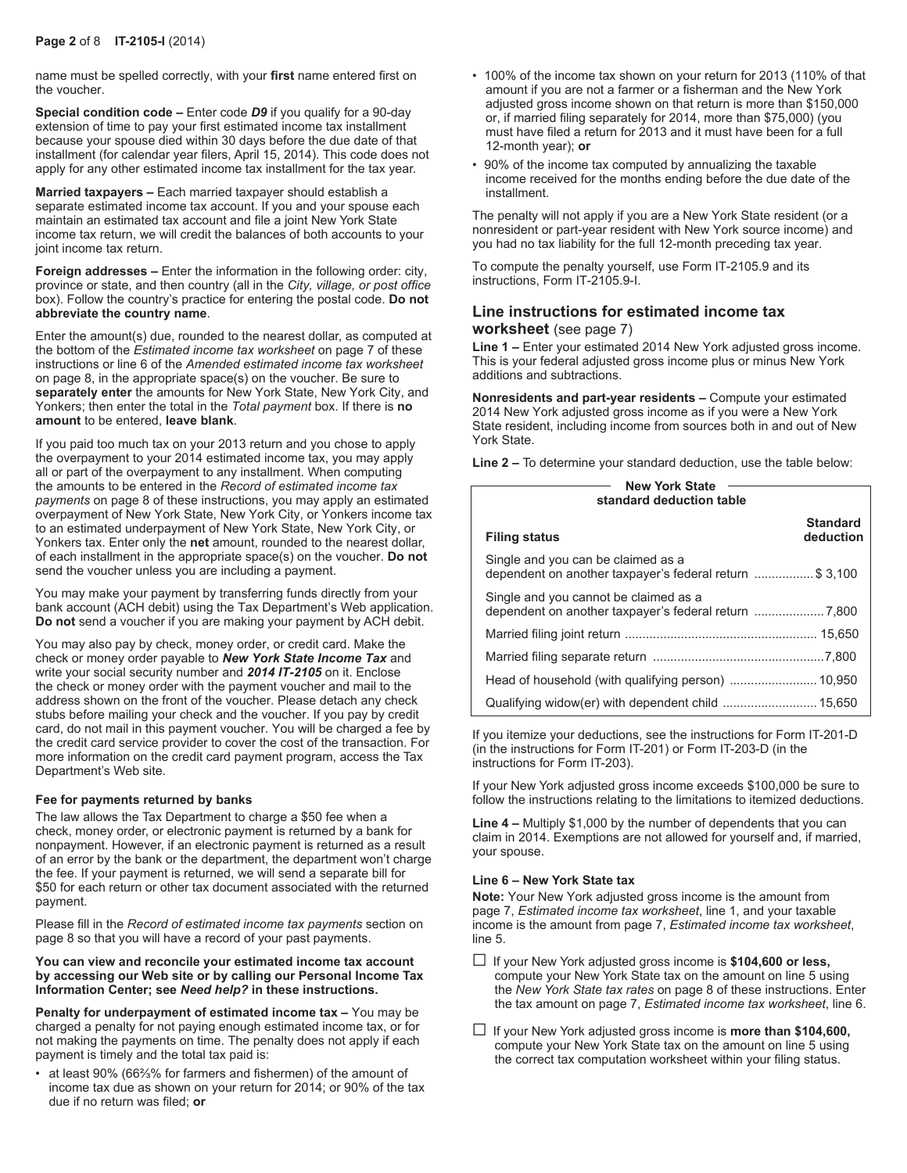name must be spelled correctly, with your **first** name entered first on the voucher.

**Special condition code –** Enter code *D9* if you qualify for a 90-day extension of time to pay your first estimated income tax installment because your spouse died within 30 days before the due date of that installment (for calendar year filers, April 15, 2014). This code does not apply for any other estimated income tax installment for the tax year.

**Married taxpayers –** Each married taxpayer should establish a separate estimated income tax account. If you and your spouse each maintain an estimated tax account and file a joint New York State income tax return, we will credit the balances of both accounts to your joint income tax return.

**Foreign addresses –** Enter the information in the following order: city, province or state, and then country (all in the *City, village, or post office* box). Follow the country's practice for entering the postal code. **Do not abbreviate the country name**.

Enter the amount(s) due, rounded to the nearest dollar, as computed at the bottom of the *Estimated income tax worksheet* on page 7 of these instructions or line 6 of the *Amended estimated income tax worksheet* on page 8, in the appropriate space(s) on the voucher. Be sure to **separately enter** the amounts for New York State, New York City, and Yonkers; then enter the total in the *Total payment* box. If there is **no amount** to be entered, **leave blank**.

If you paid too much tax on your 2013 return and you chose to apply the overpayment to your 2014 estimated income tax, you may apply all or part of the overpayment to any installment. When computing the amounts to be entered in the *Record of estimated income tax payments* on page 8 of these instructions, you may apply an estimated overpayment of New York State, New York City, or Yonkers income tax to an estimated underpayment of New York State, New York City, or Yonkers tax. Enter only the **net** amount, rounded to the nearest dollar, of each installment in the appropriate space(s) on the voucher. **Do not** send the voucher unless you are including a payment.

You may make your payment by transferring funds directly from your bank account (ACH debit) using the Tax Department's Web application. **Do not** send a voucher if you are making your payment by ACH debit.

You may also pay by check, money order, or credit card. Make the check or money order payable to *New York State Income Tax* and write your social security number and *2014 IT‑2105* on it. Enclose the check or money order with the payment voucher and mail to the address shown on the front of the voucher. Please detach any check stubs before mailing your check and the voucher. If you pay by credit card, do not mail in this payment voucher. You will be charged a fee by the credit card service provider to cover the cost of the transaction. For more information on the credit card payment program, access the Tax Department's Web site.

#### **Fee for payments returned by banks**

The law allows the Tax Department to charge a \$50 fee when a check, money order, or electronic payment is returned by a bank for nonpayment. However, if an electronic payment is returned as a result of an error by the bank or the department, the department won't charge the fee. If your payment is returned, we will send a separate bill for \$50 for each return or other tax document associated with the returned payment.

Please fill in the *Record of estimated income tax payments* section on page 8 so that you will have a record of your past payments.

**You can view and reconcile your estimated income tax account by accessing our Web site or by calling our Personal Income Tax Information Center; see** *Need help?* **in these instructions.**

**Penalty for underpayment of estimated income tax –** You may be charged a penalty for not paying enough estimated income tax, or for not making the payments on time. The penalty does not apply if each payment is timely and the total tax paid is:

• at least 90% (66⅔% for farmers and fishermen) of the amount of income tax due as shown on your return for 2014; or 90% of the tax due if no return was filed; **or**

- 100% of the income tax shown on your return for 2013 (110% of that amount if you are not a farmer or a fisherman and the New York adjusted gross income shown on that return is more than \$150,000 or, if married filing separately for 2014, more than \$75,000) (you must have filed a return for 2013 and it must have been for a full 12‑month year); **or**
- 90% of the income tax computed by annualizing the taxable income received for the months ending before the due date of the installment.

The penalty will not apply if you are a New York State resident (or a nonresident or part-year resident with New York source income) and you had no tax liability for the full 12-month preceding tax year.

To compute the penalty yourself, use Form IT‑2105.9 and its instructions, Form IT‑2105.9-I.

## **Line instructions for estimated income tax worksheet** (see page 7)

**Line 1 –** Enter your estimated 2014 New York adjusted gross income. This is your federal adjusted gross income plus or minus New York additions and subtractions.

**Nonresidents and part-year residents –** Compute your estimated 2014 New York adjusted gross income as if you were a New York State resident, including income from sources both in and out of New York State.

**Line 2 –** To determine your standard deduction, use the table below:

| <b>New York State</b><br>standard deduction table                                              |                              |  |  |  |  |  |  |  |
|------------------------------------------------------------------------------------------------|------------------------------|--|--|--|--|--|--|--|
| <b>Filing status</b>                                                                           | <b>Standard</b><br>deduction |  |  |  |  |  |  |  |
| Single and you can be claimed as a<br>dependent on another taxpayer's federal return  \$ 3,100 |                              |  |  |  |  |  |  |  |
| Single and you cannot be claimed as a                                                          |                              |  |  |  |  |  |  |  |
|                                                                                                |                              |  |  |  |  |  |  |  |
|                                                                                                |                              |  |  |  |  |  |  |  |
|                                                                                                |                              |  |  |  |  |  |  |  |
|                                                                                                |                              |  |  |  |  |  |  |  |

If you itemize your deductions, see the instructions for Form IT-201-D (in the instructions for Form IT-201) or Form IT-203-D (in the instructions for Form IT-203).

If your New York adjusted gross income exceeds \$100,000 be sure to follow the instructions relating to the limitations to itemized deductions.

**Line 4 –** Multiply \$1,000 by the number of dependents that you can claim in 2014. Exemptions are not allowed for yourself and, if married, your spouse.

#### **Line 6 – New York State tax**

**Note:** Your New York adjusted gross income is the amount from page 7, *Estimated income tax worksheet*, line 1, and your taxable income is the amount from page 7, *Estimated income tax worksheet*, line 5.

- G If your New York adjusted gross income is **\$104,600 or less,** compute your New York State tax on the amount on line 5 using the *New York State tax rates* on page 8 of these instructions. Enter the tax amount on page 7, *Estimated income tax worksheet*, line 6.
- If your New York adjusted gross income is **more than \$104,600,** compute your New York State tax on the amount on line 5 using the correct tax computation worksheet within your filing status.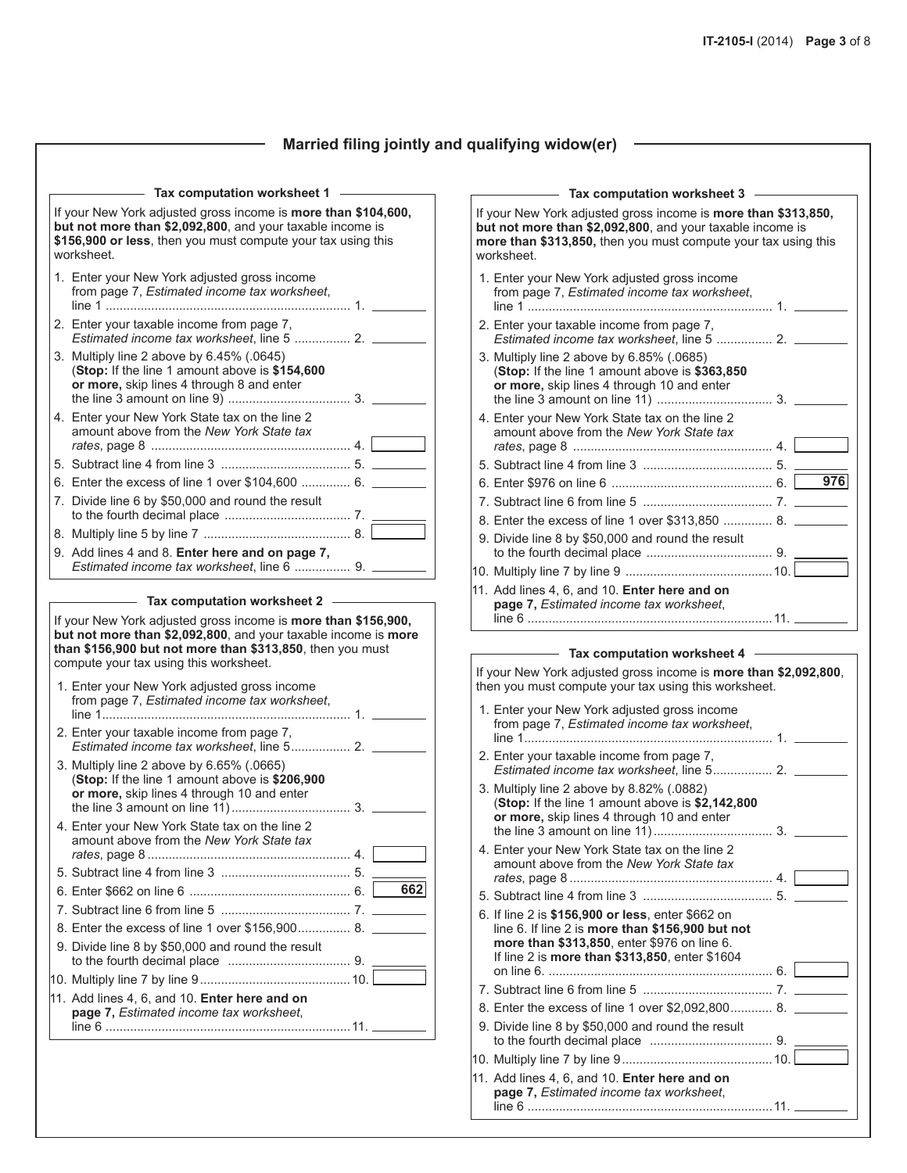## **Married filing jointly and qualifying widow(er)**

| Tax computation worksheet 1<br>If your New York adjusted gross income is <b>more than \$104,600</b> ,                                                                         |     |
|-------------------------------------------------------------------------------------------------------------------------------------------------------------------------------|-----|
| but not more than \$2,092,800, and your taxable income is<br>\$156,900 or less, then you must compute your tax using this<br>worksheet.                                       |     |
| 1. Enter your New York adjusted gross income<br>from page 7, Estimated income tax worksheet,                                                                                  |     |
| 2. Enter your taxable income from page 7,<br>Estimated income tax worksheet. line 5  2.                                                                                       |     |
| 3. Multiply line 2 above by 6.45% (.0645)<br>(Stop: If the line 1 amount above is \$154,600<br>or more, skip lines 4 through 8 and enter                                      |     |
| 4. Enter your New York State tax on the line 2<br>amount above from the New York State tax                                                                                    |     |
|                                                                                                                                                                               |     |
| 6. Enter the excess of line 1 over \$104,600  6.                                                                                                                              |     |
| 7. Divide line 6 by \$50,000 and round the result                                                                                                                             |     |
|                                                                                                                                                                               |     |
| 9. Add lines 4 and 8. Enter here and on page 7,                                                                                                                               |     |
| Estimated income tax worksheet, line 6  9.                                                                                                                                    |     |
| <b>Tax computation worksheet 2</b><br>If your New York adjusted gross income is <b>more than \$156,900,</b><br>but not more than \$2,092,800, and your taxable income is more |     |
| than \$156,900 but not more than \$313,850, then you must<br>compute your tax using this worksheet.<br>1. Enter your New York adjusted gross income                           |     |
| from page 7, Estimated income tax worksheet,                                                                                                                                  |     |
| 2. Enter your taxable income from page 7,                                                                                                                                     |     |
| 3. Multiply line 2 above by 6.65% (.0665)<br>(Stop: If the line 1 amount above is \$206,900<br>or more, skip lines 4 through 10 and enter                                     |     |
| 4. Enter your New York State tax on the line 2<br>amount above from the New York State tax                                                                                    |     |
|                                                                                                                                                                               |     |
|                                                                                                                                                                               | 662 |
|                                                                                                                                                                               |     |
| 8. Enter the excess of line 1 over \$156,900 8.                                                                                                                               |     |
| 9. Divide line 8 by \$50,000 and round the result                                                                                                                             |     |
|                                                                                                                                                                               |     |
| 11. Add lines 4, 6, and 10. Enter here and on<br>page 7, Estimated income tax worksheet,                                                                                      |     |

 $\overline{\phantom{0}}$ 

| Tax computation worksheet 3                                                                                                                                                                                 |     |
|-------------------------------------------------------------------------------------------------------------------------------------------------------------------------------------------------------------|-----|
| If your New York adjusted gross income is more than \$313,850,<br>but not more than \$2,092,800, and your taxable income is<br>more than \$313,850, then you must compute your tax using this<br>worksheet. |     |
| 1. Enter your New York adjusted gross income<br>from page 7, Estimated income tax worksheet,                                                                                                                |     |
| 2. Enter your taxable income from page 7,<br>Estimated income tax worksheet, line 5  2. _____                                                                                                               |     |
| 3. Multiply line 2 above by 6.85% (.0685)<br>(Stop: If the line 1 amount above is \$363,850<br>or more, skip lines 4 through 10 and enter                                                                   |     |
| 4. Enter your New York State tax on the line 2<br>amount above from the New York State tax                                                                                                                  |     |
|                                                                                                                                                                                                             |     |
|                                                                                                                                                                                                             | 976 |
|                                                                                                                                                                                                             |     |
| 8. Enter the excess of line 1 over \$313,850  8.                                                                                                                                                            |     |
| 9. Divide line 8 by \$50,000 and round the result                                                                                                                                                           |     |
|                                                                                                                                                                                                             |     |
|                                                                                                                                                                                                             |     |
| 11. Add lines 4, 6, and 10. Enter here and on<br>page 7, Estimated income tax worksheet,                                                                                                                    |     |
|                                                                                                                                                                                                             |     |
| Tax computation worksheet 4<br>If your New York adjusted gross income is more than \$2,092,800,<br>then you must compute your tax using this worksheet.                                                     |     |
| 1. Enter your New York adjusted gross income<br>from page 7, Estimated income tax worksheet,                                                                                                                |     |
| 2. Enter your taxable income from page 7,                                                                                                                                                                   |     |
| 3. Multiply line 2 above by 8.82% (.0882)<br>(Stop: If the line 1 amount above is \$2,142,800<br>or more, skip lines 4 through 10 and enter                                                                 |     |
| 4. Enter your New York State tax on the line 2<br>amount above from the New York State tax                                                                                                                  |     |
|                                                                                                                                                                                                             |     |
| 6. If line 2 is \$156,900 or less, enter \$662 on<br>line 6. If line 2 is more than \$156,900 but not<br>more than \$313,850, enter \$976 on line 6.<br>If line 2 is more than \$313,850, enter \$1604      |     |
|                                                                                                                                                                                                             |     |
| 8. Enter the excess of line 1 over \$2,092,800 8.                                                                                                                                                           |     |
| 9. Divide line 8 by \$50,000 and round the result                                                                                                                                                           |     |
|                                                                                                                                                                                                             |     |
| 11. Add lines 4, 6, and 10. Enter here and on<br>page 7, Estimated income tax worksheet,                                                                                                                    |     |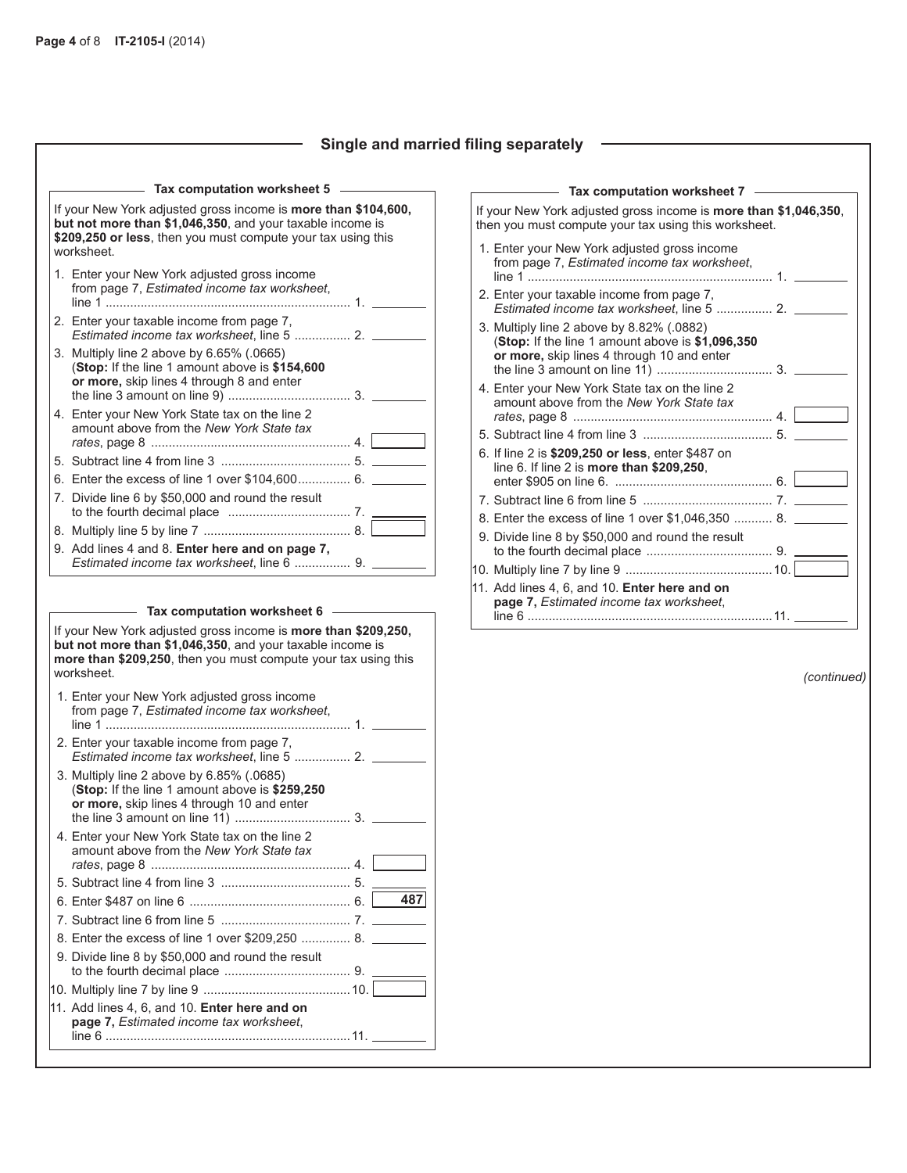## **Single and married filing separately**

 $\overline{\phantom{0}}$ 

| Tax computation worksheet 5                                                                                                                                                                               |     |
|-----------------------------------------------------------------------------------------------------------------------------------------------------------------------------------------------------------|-----|
| If your New York adjusted gross income is more than \$104,600,<br>but not more than \$1,046,350, and your taxable income is<br>\$209,250 or less, then you must compute your tax using this<br>worksheet. |     |
| 1. Enter your New York adjusted gross income<br>from page 7, Estimated income tax worksheet,                                                                                                              |     |
| 2. Enter your taxable income from page 7,<br>Estimated income tax worksheet. line 5  2.                                                                                                                   |     |
| 3. Multiply line 2 above by 6.65% (.0665)<br>(Stop: If the line 1 amount above is \$154,600<br>or more, skip lines 4 through 8 and enter                                                                  |     |
| 4. Enter your New York State tax on the line 2<br>amount above from the New York State tax                                                                                                                |     |
|                                                                                                                                                                                                           |     |
| 6. Enter the excess of line 1 over \$104,600 6.                                                                                                                                                           |     |
| 7. Divide line 6 by \$50,000 and round the result                                                                                                                                                         |     |
|                                                                                                                                                                                                           |     |
| 9. Add lines 4 and 8. Enter here and on page 7,<br>Estimated income tax worksheet, line 6  9.                                                                                                             |     |
| If your New York adjusted gross income is <b>more than \$209,250,</b>                                                                                                                                     |     |
| but not more than \$1,046,350, and your taxable income is<br>more than \$209,250, then you must compute your tax using this                                                                               |     |
| worksheet.<br>1. Enter your New York adjusted gross income<br>from page 7, Estimated income tax worksheet,                                                                                                |     |
|                                                                                                                                                                                                           |     |
| 2. Enter your taxable income from page 7,<br>Estimated income tax worksheet, line 5  2.                                                                                                                   |     |
| 3. Multiply line 2 above by 6.85% (.0685)<br>(Stop: If the line 1 amount above is \$259,250<br>or more, skip lines 4 through 10 and enter                                                                 |     |
| 4. Enter your New York State tax on the line 2<br>amount above from the New York State tax                                                                                                                |     |
|                                                                                                                                                                                                           |     |
|                                                                                                                                                                                                           |     |
|                                                                                                                                                                                                           | 487 |
|                                                                                                                                                                                                           |     |
| 8. Enter the excess of line 1 over \$209,250  8.                                                                                                                                                          |     |
| 9. Divide line 8 by \$50,000 and round the result                                                                                                                                                         |     |
|                                                                                                                                                                                                           |     |
| 11. Add lines 4, 6, and 10. Enter here and on<br>page 7, Estimated income tax worksheet,                                                                                                                  |     |

| If your New York adjusted gross income is <b>more than \$1,046,350</b> , |
|--------------------------------------------------------------------------|
|                                                                          |
|                                                                          |
|                                                                          |
|                                                                          |
|                                                                          |
|                                                                          |
|                                                                          |
|                                                                          |
|                                                                          |
|                                                                          |
|                                                                          |
|                                                                          |
|                                                                          |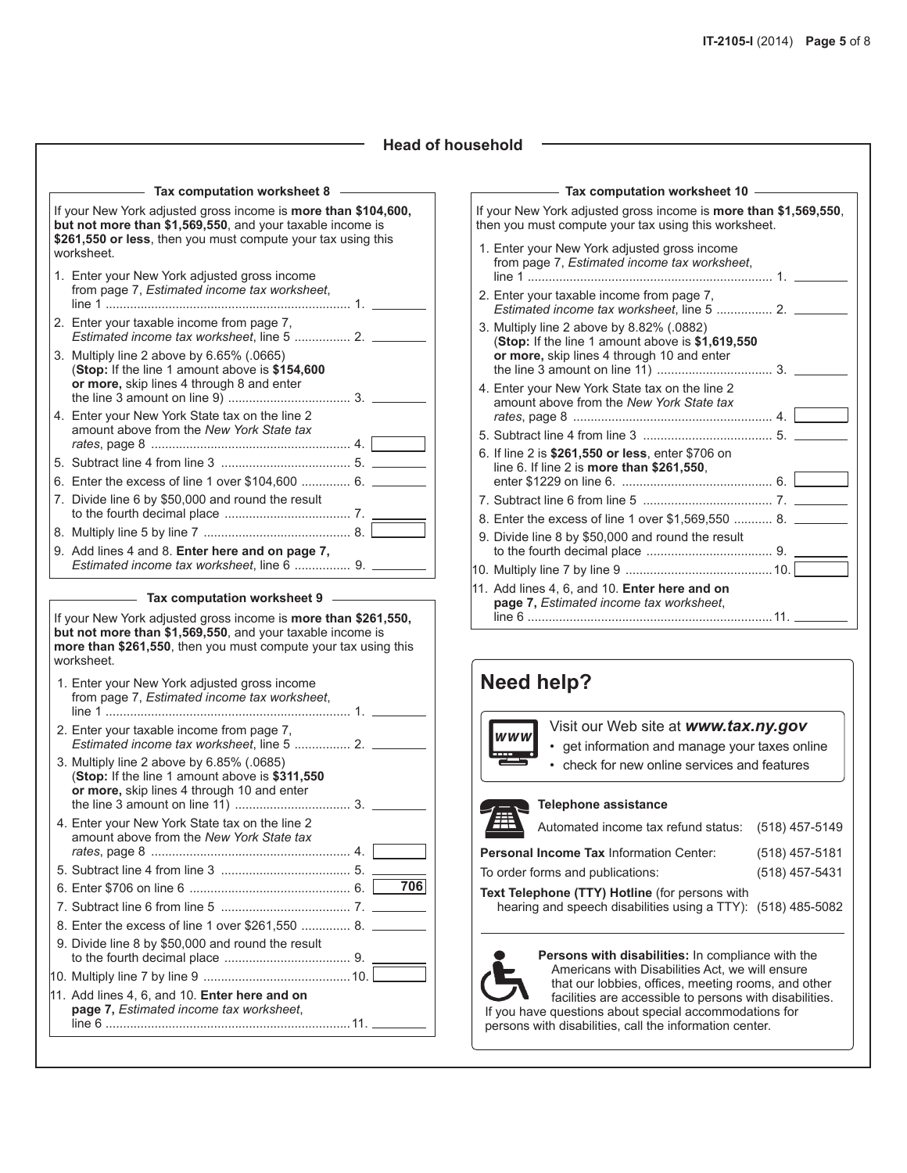#### **Head of household**

| Tax computation worksheet 8<br>If your New York adjusted gross income is <b>more than \$104,600</b> ,<br>but not more than \$1,569,550, and your taxable income is<br>\$261,550 or less, then you must compute your tax using this<br>worksheet. |
|--------------------------------------------------------------------------------------------------------------------------------------------------------------------------------------------------------------------------------------------------|
| 1. Enter your New York adjusted gross income<br>from page 7, Estimated income tax worksheet,                                                                                                                                                     |
| 2. Enter your taxable income from page 7.<br>Estimated income tax worksheet, line 5  2.                                                                                                                                                          |
| 3. Multiply line 2 above by 6.65% (.0665)<br>(Stop: If the line 1 amount above is \$154,600<br>or more, skip lines 4 through 8 and enter                                                                                                         |
| 4. Enter your New York State tax on the line 2<br>amount above from the New York State tax                                                                                                                                                       |
|                                                                                                                                                                                                                                                  |
| 6. Enter the excess of line 1 over \$104,600  6.                                                                                                                                                                                                 |
| 7. Divide line 6 by \$50,000 and round the result                                                                                                                                                                                                |
|                                                                                                                                                                                                                                                  |
| 9. Add lines 4 and 8. Enter here and on page 7,<br>Estimated income tax worksheet. line 6  9.                                                                                                                                                    |
|                                                                                                                                                                                                                                                  |
| Tax computation worksheet 9<br>If your New York adjusted gross income is <b>more than \$261,550,</b>                                                                                                                                             |
| but not more than \$1,569,550, and your taxable income is<br>more than \$261,550, then you must compute your tax using this<br>worksheet.<br>1. Enter your New York adjusted gross income                                                        |
| from page 7, Estimated income tax worksheet,                                                                                                                                                                                                     |
| 2. Enter your taxable income from page 7,<br>Estimated income tax worksheet, line 5  2.                                                                                                                                                          |
| 3. Multiply line 2 above by 6.85% (.0685)<br>(Stop: If the line 1 amount above is \$311,550<br>or more, skip lines 4 through 10 and enter                                                                                                        |
| 4. Enter your New York State tax on the line 2<br>amount above from the New York State tax                                                                                                                                                       |
|                                                                                                                                                                                                                                                  |
| 706                                                                                                                                                                                                                                              |
|                                                                                                                                                                                                                                                  |
| 8. Enter the excess of line 1 over \$261,550  8.                                                                                                                                                                                                 |
| 9. Divide line 8 by \$50,000 and round the result                                                                                                                                                                                                |
| 11. Add lines 4, 6, and 10. Enter here and on                                                                                                                                                                                                    |

| $-$ Tax computation worksheet 10 $-\hskip-1.5pt-\hskip-1.5pt-\hskip-1.5pt-\hskip-1.5pt-\hskip-1.5pt-\hskip-1.5pt-\hskip-1.5pt-\hskip-1.5pt-\hskip-1.5pt-\hskip-1.5pt-\hskip-1.5pt-\hskip-1.5pt-\hskip-1.5pt-\hskip-1.5pt-\hskip-1.5pt-\hskip-1.5pt-\hskip-1.5pt-\hskip-1.5pt-\hskip-1.5pt-\hskip-1.5pt-\hskip-1.5pt-\hskip-1.5pt-\hskip-1.5pt-\hskip$ |  |
|-------------------------------------------------------------------------------------------------------------------------------------------------------------------------------------------------------------------------------------------------------------------------------------------------------------------------------------------------------|--|
| If your New York adjusted gross income is <b>more than \$1,569,550</b> ,<br>then you must compute your tax using this worksheet.                                                                                                                                                                                                                      |  |
| 1. Enter your New York adjusted gross income<br>from page 7, Estimated income tax worksheet,<br>line 1                                                                                                                                                                                                                                                |  |
| 2. Enter your taxable income from page 7,<br>Estimated income tax worksheet. line 5  2. __                                                                                                                                                                                                                                                            |  |
| 3. Multiply line 2 above by 8.82% (.0882)<br>(Stop: If the line 1 amount above is \$1,619,550)<br>or more, skip lines 4 through 10 and enter                                                                                                                                                                                                          |  |
| 4. Enter your New York State tax on the line 2<br>amount above from the New York State tax                                                                                                                                                                                                                                                            |  |
|                                                                                                                                                                                                                                                                                                                                                       |  |
| 6. If line 2 is \$261,550 or less, enter \$706 on<br>line 6. If line 2 is more than $$261,550$ ,                                                                                                                                                                                                                                                      |  |
|                                                                                                                                                                                                                                                                                                                                                       |  |
| 8. Enter the excess of line 1 over \$1,569,550  8.                                                                                                                                                                                                                                                                                                    |  |
| 9. Divide line 8 by \$50,000 and round the result                                                                                                                                                                                                                                                                                                     |  |
|                                                                                                                                                                                                                                                                                                                                                       |  |
| 11. Add lines 4, 6, and 10. Enter here and on<br>page 7, Estimated income tax worksheet,                                                                                                                                                                                                                                                              |  |
|                                                                                                                                                                                                                                                                                                                                                       |  |

# **Need help?**

# Visit our Web site at *www.tax.ny.gov* **www** • get information and manage your taxes online • check for new online services and features **Telephone assistance** Automated income tax refund status: (518) 457-5149 **Personal Income Tax** Information Center: (518) 457-5181 To order forms and publications: (518) 457-5431 **Text Telephone (TTY) Hotline** (for persons with hearing and speech disabilities using a TTY): (518) 485-5082



If you have questions about special accommodations for persons with disabilities, call the information center. **Persons with disabilities:** In compliance with the Americans with Disabilities Act, we will ensure that our lobbies, offices, meeting rooms, and other facilities are accessible to persons with disabilities.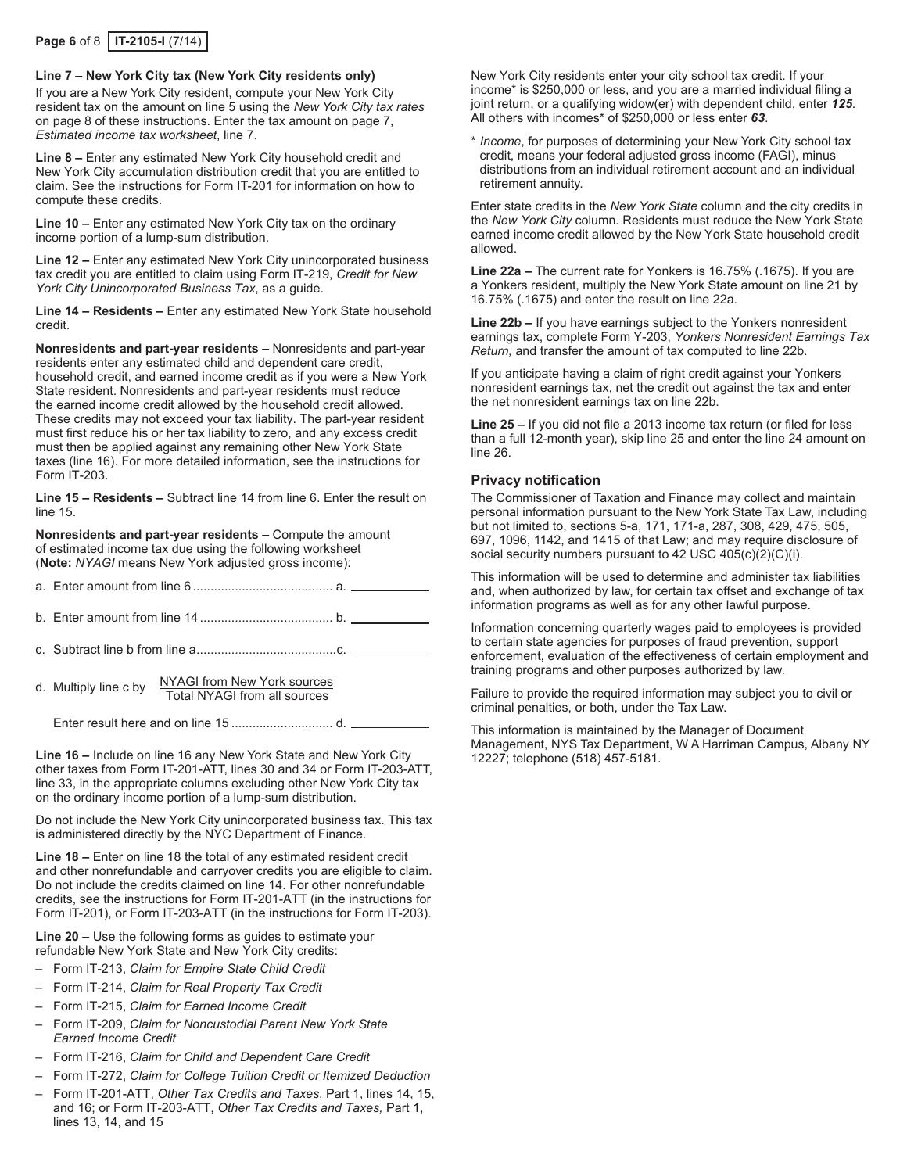#### **Line 7 – New York City tax (New York City residents only)**

If you are a New York City resident, compute your New York City resident tax on the amount on line 5 using the *New York City tax rates* on page 8 of these instructions. Enter the tax amount on page 7, *Estimated income tax worksheet*, line 7.

**Line 8 –** Enter any estimated New York City household credit and New York City accumulation distribution credit that you are entitled to claim. See the instructions for Form IT-201 for information on how to compute these credits.

**Line 10 –** Enter any estimated New York City tax on the ordinary income portion of a lump-sum distribution.

**Line 12 –** Enter any estimated New York City unincorporated business tax credit you are entitled to claim using Form IT‑219, *Credit for New York City Unincorporated Business Tax*, as a guide.

**Line 14 – Residents –** Enter any estimated New York State household credit.

**Nonresidents and part-year residents –** Nonresidents and part‑year residents enter any estimated child and dependent care credit, household credit, and earned income credit as if you were a New York State resident. Nonresidents and part-year residents must reduce the earned income credit allowed by the household credit allowed. These credits may not exceed your tax liability. The part-year resident must first reduce his or her tax liability to zero, and any excess credit must then be applied against any remaining other New York State taxes (line 16). For more detailed information, see the instructions for Form IT‑203.

**Line 15 – Residents –** Subtract line 14 from line 6. Enter the result on line 15.

**Nonresidents and part-year residents –** Compute the amount of estimated income tax due using the following worksheet (**Note:** *NYAGI* means New York adjusted gross income):

b. Enter amount from line 14 ...................................... b.

c. Subtract line b from line a........................................c.

d. Multiply line c by  $\frac{NYAGI$  from New York sources<br>Total NYAGI from all sources

Enter result here and on line 15 ............................. d.

**Line 16 –** Include on line 16 any New York State and New York City other taxes from Form IT‑201‑ATT, lines 30 and 34 or Form IT‑203‑ATT, line 33, in the appropriate columns excluding other New York City tax on the ordinary income portion of a lump-sum distribution.

Do not include the New York City unincorporated business tax. This tax is administered directly by the NYC Department of Finance.

**Line 18 –** Enter on line 18 the total of any estimated resident credit and other nonrefundable and carryover credits you are eligible to claim. Do not include the credits claimed on line 14. For other nonrefundable credits, see the instructions for Form IT‑201‑ATT (in the instructions for Form IT-201), or Form IT-203-ATT (in the instructions for Form IT-203).

**Line 20 –** Use the following forms as guides to estimate your refundable New York State and New York City credits:

- Form IT-213, *Claim for Empire State Child Credit*
- Form IT-214, *Claim for Real Property Tax Credit*
- Form IT-215, *Claim for Earned Income Credit*
- Form IT-209, *Claim for Noncustodial Parent New York State Earned Income Credit*
- Form IT-216, *Claim for Child and Dependent Care Credit*
- Form IT-272, *Claim for College Tuition Credit or Itemized Deduction*
- Form IT-201-ATT, *Other Tax Credits and Taxes*, Part 1, lines 14, 15, and 16; or Form IT-203-ATT, *Other Tax Credits and Taxes,* Part 1, lines 13, 14, and 15

New York City residents enter your city school tax credit. If your income\* is \$250,000 or less, and you are a married individual filing a joint return, or a qualifying widow(er) with dependent child, enter *125*. All others with incomes\* of \$250,000 or less enter *63*.

\* *Income*, for purposes of determining your New York City school tax credit, means your federal adjusted gross income (FAGI), minus distributions from an individual retirement account and an individual retirement annuity.

Enter state credits in the *New York State* column and the city credits in the *New York City* column. Residents must reduce the New York State earned income credit allowed by the New York State household credit allowed.

**Line 22a –** The current rate for Yonkers is 16.75% (.1675). If you are a Yonkers resident, multiply the New York State amount on line 21 by 16.75% (.1675) and enter the result on line 22a.

**Line 22b –** If you have earnings subject to the Yonkers nonresident earnings tax, complete Form Y‑203, *Yonkers Nonresident Earnings Tax Return,* and transfer the amount of tax computed to line 22b.

If you anticipate having a claim of right credit against your Yonkers nonresident earnings tax, net the credit out against the tax and enter the net nonresident earnings tax on line 22b.

**Line 25 –** If you did not file a 2013 income tax return (or filed for less than a full 12-month year), skip line 25 and enter the line 24 amount on line 26.

## **Privacy notification**

The Commissioner of Taxation and Finance may collect and maintain personal information pursuant to the New York State Tax Law, including but not limited to, sections 5-a, 171, 171-a, 287, 308, 429, 475, 505, 697, 1096, 1142, and 1415 of that Law; and may require disclosure of social security numbers pursuant to 42 USC 405(c)(2)(C)(i).

This information will be used to determine and administer tax liabilities and, when authorized by law, for certain tax offset and exchange of tax information programs as well as for any other lawful purpose.

Information concerning quarterly wages paid to employees is provided to certain state agencies for purposes of fraud prevention, support enforcement, evaluation of the effectiveness of certain employment and training programs and other purposes authorized by law.

Failure to provide the required information may subject you to civil or criminal penalties, or both, under the Tax Law.

This information is maintained by the Manager of Document Management, NYS Tax Department, W A Harriman Campus, Albany NY 12227; telephone (518) 457-5181.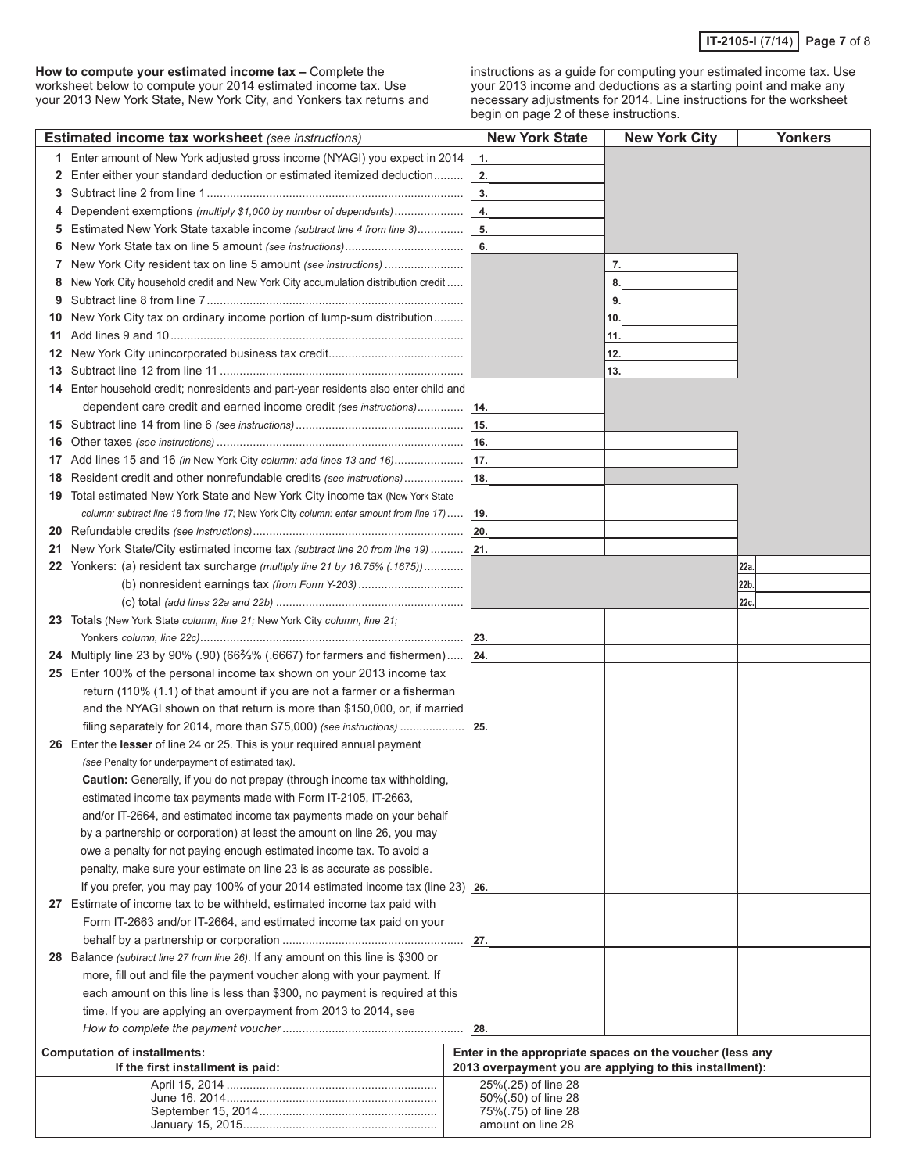**How to compute your estimated income tax –** Complete the worksheet below to compute your 2014 estimated income tax. Use your 2013 New York State, New York City, and Yonkers tax returns and

instructions as a guide for computing your estimated income tax. Use your 2013 income and deductions as a starting point and make any necessary adjustments for 2014. Line instructions for the worksheet begin on page 2 of these instructions.

|    | <b>Estimated income tax worksheet</b> (see instructions)                                                                                                     |     | <b>New York State</b> | <b>New York City</b>                                                                                                | <b>Yonkers</b> |
|----|--------------------------------------------------------------------------------------------------------------------------------------------------------------|-----|-----------------------|---------------------------------------------------------------------------------------------------------------------|----------------|
| 1. | Enter amount of New York adjusted gross income (NYAGI) you expect in 2014                                                                                    |     | 1.                    |                                                                                                                     |                |
| 2  | Enter either your standard deduction or estimated itemized deduction                                                                                         |     | 2.                    |                                                                                                                     |                |
| 3  |                                                                                                                                                              |     | 3.                    |                                                                                                                     |                |
| 4  | Dependent exemptions (multiply \$1,000 by number of dependents)                                                                                              |     | 4.                    |                                                                                                                     |                |
| 5  | Estimated New York State taxable income (subtract line 4 from line 3)                                                                                        |     | 5.                    |                                                                                                                     |                |
| 6  |                                                                                                                                                              |     | 6.                    |                                                                                                                     |                |
| 7  | New York City resident tax on line 5 amount (see instructions)                                                                                               |     |                       | 7.                                                                                                                  |                |
| 8  | New York City household credit and New York City accumulation distribution credit                                                                            |     |                       | 8.                                                                                                                  |                |
| 9  |                                                                                                                                                              |     |                       | 9.                                                                                                                  |                |
| 10 | New York City tax on ordinary income portion of lump-sum distribution                                                                                        |     |                       | 10.                                                                                                                 |                |
| 11 |                                                                                                                                                              |     |                       | 11.                                                                                                                 |                |
| 12 |                                                                                                                                                              |     |                       | 12.                                                                                                                 |                |
| 13 |                                                                                                                                                              |     |                       | 13.                                                                                                                 |                |
|    | 14 Enter household credit; nonresidents and part-year residents also enter child and                                                                         |     |                       |                                                                                                                     |                |
|    | dependent care credit and earned income credit (see instructions)   14.                                                                                      |     |                       |                                                                                                                     |                |
| 15 |                                                                                                                                                              | 15. |                       |                                                                                                                     |                |
| 16 |                                                                                                                                                              | 16. |                       |                                                                                                                     |                |
| 17 | Add lines 15 and 16 (in New York City column: add lines 13 and 16)                                                                                           | 17. |                       |                                                                                                                     |                |
|    |                                                                                                                                                              | 18. |                       |                                                                                                                     |                |
| 18 | Resident credit and other nonrefundable credits (see instructions)<br>19 Total estimated New York State and New York City income tax (New York State         |     |                       |                                                                                                                     |                |
|    | column: subtract line 18 from line 17; New York City column: enter amount from line 17)                                                                      | 19. |                       |                                                                                                                     |                |
|    |                                                                                                                                                              | 20. |                       |                                                                                                                     |                |
| 20 |                                                                                                                                                              |     |                       |                                                                                                                     |                |
| 21 | New York State/City estimated income tax (subtract line 20 from line 19)  21.<br>22 Yonkers: (a) resident tax surcharge (multiply line 21 by 16.75% (.1675)) |     |                       |                                                                                                                     |                |
|    | (b) nonresident earnings tax (from Form Y-203)                                                                                                               |     |                       |                                                                                                                     | 22a.<br>22b.   |
|    |                                                                                                                                                              |     |                       |                                                                                                                     |                |
|    | Totals (New York State column, line 21; New York City column, line 21;                                                                                       |     |                       |                                                                                                                     | 22c.           |
| 23 |                                                                                                                                                              |     |                       |                                                                                                                     |                |
|    | 24 Multiply line 23 by 90% (.90) (66% (.6667) for farmers and fishermen) 24.                                                                                 |     |                       |                                                                                                                     |                |
|    | 25 Enter 100% of the personal income tax shown on your 2013 income tax                                                                                       |     |                       |                                                                                                                     |                |
|    | return (110% (1.1) of that amount if you are not a farmer or a fisherman                                                                                     |     |                       |                                                                                                                     |                |
|    | and the NYAGI shown on that return is more than \$150,000, or, if married                                                                                    |     |                       |                                                                                                                     |                |
|    | filing separately for 2014, more than \$75,000) (see instructions)                                                                                           | 25  |                       |                                                                                                                     |                |
|    | 26 Enter the lesser of line 24 or 25. This is your required annual payment                                                                                   |     |                       |                                                                                                                     |                |
|    | (see Penalty for underpayment of estimated tax).                                                                                                             |     |                       |                                                                                                                     |                |
|    | Caution: Generally, if you do not prepay (through income tax withholding,                                                                                    |     |                       |                                                                                                                     |                |
|    | estimated income tax payments made with Form IT-2105, IT-2663,                                                                                               |     |                       |                                                                                                                     |                |
|    | and/or IT-2664, and estimated income tax payments made on your behalf                                                                                        |     |                       |                                                                                                                     |                |
|    | by a partnership or corporation) at least the amount on line 26, you may                                                                                     |     |                       |                                                                                                                     |                |
|    | owe a penalty for not paying enough estimated income tax. To avoid a                                                                                         |     |                       |                                                                                                                     |                |
|    | penalty, make sure your estimate on line 23 is as accurate as possible.                                                                                      |     |                       |                                                                                                                     |                |
|    | If you prefer, you may pay 100% of your 2014 estimated income tax (line 23) $ 26$ .                                                                          |     |                       |                                                                                                                     |                |
|    | 27 Estimate of income tax to be withheld, estimated income tax paid with                                                                                     |     |                       |                                                                                                                     |                |
|    | Form IT-2663 and/or IT-2664, and estimated income tax paid on your                                                                                           |     |                       |                                                                                                                     |                |
|    |                                                                                                                                                              |     |                       |                                                                                                                     |                |
|    | 28 Balance (subtract line 27 from line 26). If any amount on this line is \$300 or                                                                           |     |                       |                                                                                                                     |                |
|    | more, fill out and file the payment voucher along with your payment. If                                                                                      |     |                       |                                                                                                                     |                |
|    | each amount on this line is less than \$300, no payment is required at this                                                                                  |     |                       |                                                                                                                     |                |
|    | time. If you are applying an overpayment from 2013 to 2014, see                                                                                              |     |                       |                                                                                                                     |                |
|    |                                                                                                                                                              | 28. |                       |                                                                                                                     |                |
|    |                                                                                                                                                              |     |                       |                                                                                                                     |                |
|    | <b>Computation of installments:</b><br>If the first installment is paid:                                                                                     |     |                       | Enter in the appropriate spaces on the voucher (less any<br>2013 overpayment you are applying to this installment): |                |
|    |                                                                                                                                                              |     | 25%(.25) of line 28   |                                                                                                                     |                |
|    |                                                                                                                                                              |     | 50%(.50) of line 28   |                                                                                                                     |                |
|    |                                                                                                                                                              |     | 75%(.75) of line 28   |                                                                                                                     |                |
|    |                                                                                                                                                              |     | amount on line 28     |                                                                                                                     |                |